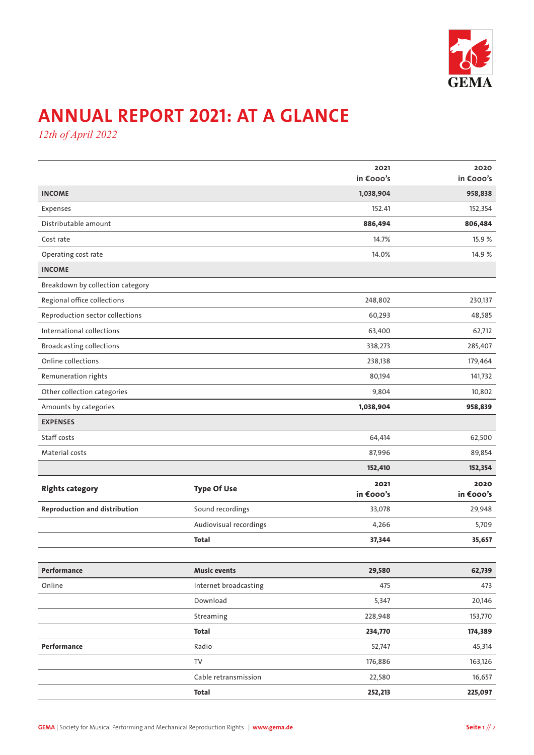

## **ANNUAL REPORT 2021: AT A GLANCE**

*12th of April 2022*

|                                      |                        | 2021<br>in €000's | 2020<br>in €000's |
|--------------------------------------|------------------------|-------------------|-------------------|
| <b>INCOME</b>                        |                        | 1,038,904         | 958,838           |
| Expenses                             |                        | 152.41            | 152,354           |
| Distributable amount                 |                        | 886,494           | 806,484           |
| Cost rate                            |                        | 14.7%             | 15.9 %            |
| Operating cost rate                  |                        | 14.0%             | 14.9 %            |
| <b>INCOME</b>                        |                        |                   |                   |
| Breakdown by collection category     |                        |                   |                   |
| Regional office collections          |                        | 248,802           | 230,137           |
| Reproduction sector collections      |                        | 60,293            | 48,585            |
| International collections            |                        | 63,400            | 62,712            |
| <b>Broadcasting collections</b>      |                        | 338,273           | 285,407           |
| Online collections                   |                        | 238,138           | 179,464           |
| Remuneration rights                  |                        | 80,194            | 141,732           |
| Other collection categories          |                        | 9,804             | 10,802            |
| Amounts by categories                |                        | 1,038,904         | 958,839           |
| <b>EXPENSES</b>                      |                        |                   |                   |
| Staff costs                          |                        | 64,414            | 62,500            |
| Material costs                       |                        | 87,996            | 89,854            |
|                                      |                        | 152,410           | 152,354           |
| <b>Rights category</b>               | <b>Type Of Use</b>     | 2021<br>in €000's | 2020<br>in €000's |
| <b>Reproduction and distribution</b> | Sound recordings       | 33,078            | 29,948            |
|                                      | Audiovisual recordings | 4,266             | 5,709             |
|                                      | <b>Total</b>           | 37,344            | 35,657            |
|                                      |                        |                   |                   |
| Performance                          | <b>Music events</b>    | 29,580            | 62,739            |
| Online                               | Internet broadcasting  | 475               | 473               |
|                                      | Download               | 5,347             | 20,146            |
|                                      | Streaming              | 228,948           | 153,770           |
|                                      | <b>Total</b>           | 234,770           | 174,389           |
| Performance                          | Radio                  | 52,747            | 45,314            |
|                                      | TV                     | 176,886           | 163,126           |
|                                      | Cable retransmission   | 22,580            | 16,657            |
|                                      | <b>Total</b>           | 252,213           | 225,097           |